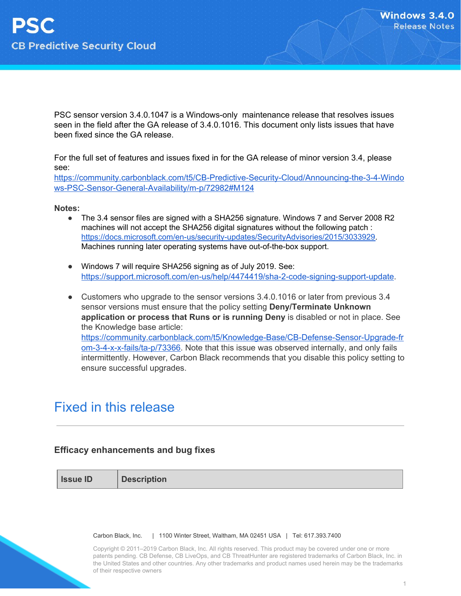PSC sensor version 3.4.0.1047 is a Windows-only maintenance release that resolves issues seen in the field after the GA release of 3.4.0.1016. This document only lists issues that have been fixed since the GA release.

For the full set of features and issues fixed in for the GA release of minor version 3.4, please see:

[https://community.carbonblack.com/t5/CB-Predictive-Security-Cloud/Announcing-the-3-4-Windo](https://community.carbonblack.com/t5/CB-Predictive-Security-Cloud/Announcing-the-3-4-Windows-PSC-Sensor-General-Availability/m-p/72982#M124) [ws-PSC-Sensor-General-Availability/m-p/72982#M124](https://community.carbonblack.com/t5/CB-Predictive-Security-Cloud/Announcing-the-3-4-Windows-PSC-Sensor-General-Availability/m-p/72982#M124)

**Notes:**

- The 3.4 sensor files are signed with a SHA256 signature. Windows 7 and Server 2008 R2 machines will not accept the SHA256 digital signatures without the following patch : [https://docs.microsoft.com/en-us/security-updates/SecurityAdvisories/2015/3033929.](https://docs.microsoft.com/en-us/security-updates/SecurityAdvisories/2015/3033929) Machines running later operating systems have out-of-the-box support.
- Windows 7 will require SHA256 signing as of July 2019. See: [https://support.microsoft.com/en-us/help/4474419/sha-2-code-signing-support-update.](https://support.microsoft.com/en-us/help/4474419/sha-2-code-signing-support-update)
- Customers who upgrade to the sensor versions 3.4.0.1016 or later from previous 3.4 sensor versions must ensure that the policy setting **Deny/Terminate Unknown application or process that Runs or is running Deny** is disabled or not in place. See the Knowledge base article: [https://community.carbonblack.com/t5/Knowledge-Base/CB-Defense-Sensor-Upgrade-fr](https://community.carbonblack.com/t5/Knowledge-Base/CB-Defense-Sensor-Upgrade-from-3-4-x-x-fails/ta-p/73366) [om-3-4-x-x-fails/ta-p/73366.](https://community.carbonblack.com/t5/Knowledge-Base/CB-Defense-Sensor-Upgrade-from-3-4-x-x-fails/ta-p/73366) Note that this issue was observed internally, and only fails intermittently. However, Carbon Black recommends that you disable this policy setting to ensure successful upgrades.

#### Fixed in this release

#### **Efficacy enhancements and bug fixes**

**Issue ID Description**

Carbon Black, Inc. | 1100 Winter Street, Waltham, MA 02451 USA | Tel: 617.393.7400

Copyright © 2011–2019 Carbon Black, Inc. All rights reserved. This product may be covered under one or more patents pending. CB Defense, CB LiveOps, and CB ThreatHunter are registered trademarks of Carbon Black, Inc. in the United States and other countries. Any other trademarks and product names used herein may be the trademarks of their respective owners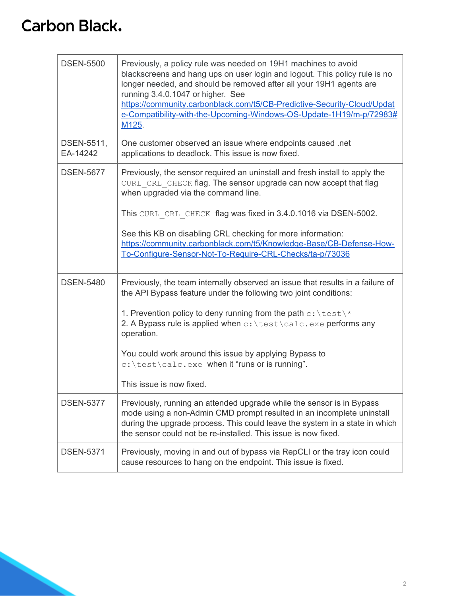| <b>DSEN-5500</b>       | Previously, a policy rule was needed on 19H1 machines to avoid<br>blackscreens and hang ups on user login and logout. This policy rule is no<br>longer needed, and should be removed after all your 19H1 agents are<br>running 3.4.0.1047 or higher. See<br>https://community.carbonblack.com/t5/CB-Predictive-Security-Cloud/Updat<br>e-Compatibility-with-the-Upcoming-Windows-OS-Update-1H19/m-p/72983#<br>M125. |
|------------------------|---------------------------------------------------------------------------------------------------------------------------------------------------------------------------------------------------------------------------------------------------------------------------------------------------------------------------------------------------------------------------------------------------------------------|
| DSEN-5511,<br>EA-14242 | One customer observed an issue where endpoints caused .net<br>applications to deadlock. This issue is now fixed.                                                                                                                                                                                                                                                                                                    |
| <b>DSEN-5677</b>       | Previously, the sensor required an uninstall and fresh install to apply the<br>CURL CRL CHECK flag. The sensor upgrade can now accept that flag<br>when upgraded via the command line.                                                                                                                                                                                                                              |
|                        | This CURL CRL CHECK flag was fixed in 3.4.0.1016 via DSEN-5002.<br>See this KB on disabling CRL checking for more information:<br>https://community.carbonblack.com/t5/Knowledge-Base/CB-Defense-How-<br>To-Configure-Sensor-Not-To-Require-CRL-Checks/ta-p/73036                                                                                                                                                   |
| <b>DSEN-5480</b>       | Previously, the team internally observed an issue that results in a failure of<br>the API Bypass feature under the following two joint conditions:                                                                                                                                                                                                                                                                  |
|                        | 1. Prevention policy to deny running from the path $c$ : \test\*<br>2. A Bypass rule is applied when c: \test\calc.exe performs any<br>operation.                                                                                                                                                                                                                                                                   |
|                        | You could work around this issue by applying Bypass to<br>c: \test\calc.exe when it "runs or is running".                                                                                                                                                                                                                                                                                                           |
|                        | This issue is now fixed.                                                                                                                                                                                                                                                                                                                                                                                            |
| <b>DSEN-5377</b>       | Previously, running an attended upgrade while the sensor is in Bypass<br>mode using a non-Admin CMD prompt resulted in an incomplete uninstall<br>during the upgrade process. This could leave the system in a state in which<br>the sensor could not be re-installed. This issue is now fixed.                                                                                                                     |
| <b>DSEN-5371</b>       | Previously, moving in and out of bypass via RepCLI or the tray icon could<br>cause resources to hang on the endpoint. This issue is fixed.                                                                                                                                                                                                                                                                          |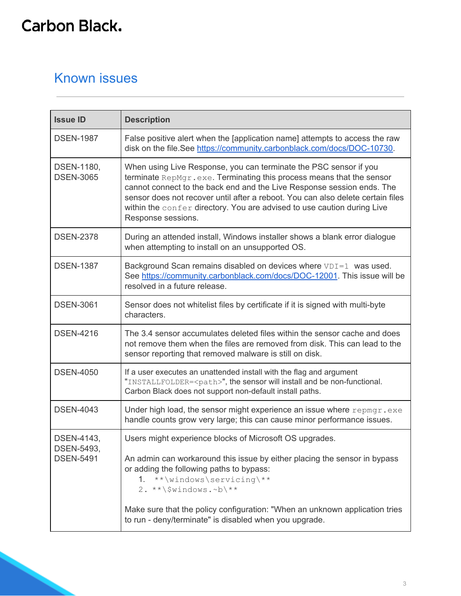#### Known issues

| <b>Issue ID</b>                                     | <b>Description</b>                                                                                                                                                                                                                                                                                                                                                                                      |
|-----------------------------------------------------|---------------------------------------------------------------------------------------------------------------------------------------------------------------------------------------------------------------------------------------------------------------------------------------------------------------------------------------------------------------------------------------------------------|
| <b>DSEN-1987</b>                                    | False positive alert when the [application name] attempts to access the raw<br>disk on the file.See https://community.carbonblack.com/docs/DOC-10730.                                                                                                                                                                                                                                                   |
| DSEN-1180,<br><b>DSEN-3065</b>                      | When using Live Response, you can terminate the PSC sensor if you<br>terminate RepMgr.exe. Terminating this process means that the sensor<br>cannot connect to the back end and the Live Response session ends. The<br>sensor does not recover until after a reboot. You can also delete certain files<br>within the confer directory. You are advised to use caution during Live<br>Response sessions. |
| <b>DSEN-2378</b>                                    | During an attended install, Windows installer shows a blank error dialogue<br>when attempting to install on an unsupported OS.                                                                                                                                                                                                                                                                          |
| <b>DSEN-1387</b>                                    | Background Scan remains disabled on devices where VDI=1 was used.<br>See https://community.carbonblack.com/docs/DOC-12001. This issue will be<br>resolved in a future release.                                                                                                                                                                                                                          |
| <b>DSEN-3061</b>                                    | Sensor does not whitelist files by certificate if it is signed with multi-byte<br>characters.                                                                                                                                                                                                                                                                                                           |
| <b>DSEN-4216</b>                                    | The 3.4 sensor accumulates deleted files within the sensor cache and does<br>not remove them when the files are removed from disk. This can lead to the<br>sensor reporting that removed malware is still on disk.                                                                                                                                                                                      |
| <b>DSEN-4050</b>                                    | If a user executes an unattended install with the flag and argument<br>"INSTALLFOLDER= <path>", the sensor will install and be non-functional.<br/>Carbon Black does not support non-default install paths.</path>                                                                                                                                                                                      |
| <b>DSEN-4043</b>                                    | Under high load, the sensor might experience an issue where repmgr.exe<br>handle counts grow very large; this can cause minor performance issues.                                                                                                                                                                                                                                                       |
| DSEN-4143,<br><b>DSEN-5493,</b><br><b>DSEN-5491</b> | Users might experience blocks of Microsoft OS upgrades.<br>An admin can workaround this issue by either placing the sensor in bypass<br>or adding the following paths to bypass:<br>1. **\windows\servicing\**<br>2. **\\$windows.~b\**<br>Make sure that the policy configuration: "When an unknown application tries<br>to run - deny/terminate" is disabled when you upgrade.                        |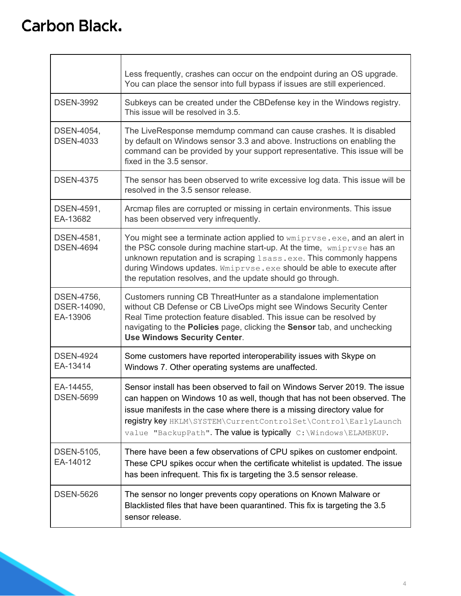|                                       | Less frequently, crashes can occur on the endpoint during an OS upgrade.<br>You can place the sensor into full bypass if issues are still experienced.                                                                                                                                                                                                                    |
|---------------------------------------|---------------------------------------------------------------------------------------------------------------------------------------------------------------------------------------------------------------------------------------------------------------------------------------------------------------------------------------------------------------------------|
| <b>DSEN-3992</b>                      | Subkeys can be created under the CBDefense key in the Windows registry.<br>This issue will be resolved in 3.5.                                                                                                                                                                                                                                                            |
| DSEN-4054,<br><b>DSEN-4033</b>        | The LiveResponse memdump command can cause crashes. It is disabled<br>by default on Windows sensor 3.3 and above. Instructions on enabling the<br>command can be provided by your support representative. This issue will be<br>fixed in the 3.5 sensor.                                                                                                                  |
| <b>DSEN-4375</b>                      | The sensor has been observed to write excessive log data. This issue will be<br>resolved in the 3.5 sensor release.                                                                                                                                                                                                                                                       |
| DSEN-4591,<br>EA-13682                | Arcmap files are corrupted or missing in certain environments. This issue<br>has been observed very infrequently.                                                                                                                                                                                                                                                         |
| DSEN-4581,<br><b>DSEN-4694</b>        | You might see a terminate action applied to wmiprvse.exe, and an alert in<br>the PSC console during machine start-up. At the time, wmiprvse has an<br>unknown reputation and is scraping Lsass.exe. This commonly happens<br>during Windows updates. Wmiprvse.exe should be able to execute after<br>the reputation resolves, and the update should go through.           |
| DSEN-4756,<br>DSER-14090,<br>EA-13906 | Customers running CB ThreatHunter as a standalone implementation<br>without CB Defense or CB LiveOps might see Windows Security Center<br>Real Time protection feature disabled. This issue can be resolved by<br>navigating to the Policies page, clicking the Sensor tab, and unchecking<br><b>Use Windows Security Center.</b>                                         |
| <b>DSEN-4924</b><br>EA-13414          | Some customers have reported interoperability issues with Skype on<br>Windows 7. Other operating systems are unaffected.                                                                                                                                                                                                                                                  |
| EA-14455,<br><b>DSEN-5699</b>         | Sensor install has been observed to fail on Windows Server 2019. The issue<br>can happen on Windows 10 as well, though that has not been observed. The<br>issue manifests in the case where there is a missing directory value for<br>registry key HKLM\SYSTEM\CurrentControlSet\Control\EarlyLaunch<br>value "BackupPath". The value is typically C: \Windows \ELAMBKUP. |
| DSEN-5105,<br>EA-14012                | There have been a few observations of CPU spikes on customer endpoint.<br>These CPU spikes occur when the certificate whitelist is updated. The issue<br>has been infrequent. This fix is targeting the 3.5 sensor release.                                                                                                                                               |
| <b>DSEN-5626</b>                      | The sensor no longer prevents copy operations on Known Malware or<br>Blacklisted files that have been quarantined. This fix is targeting the 3.5<br>sensor release.                                                                                                                                                                                                       |